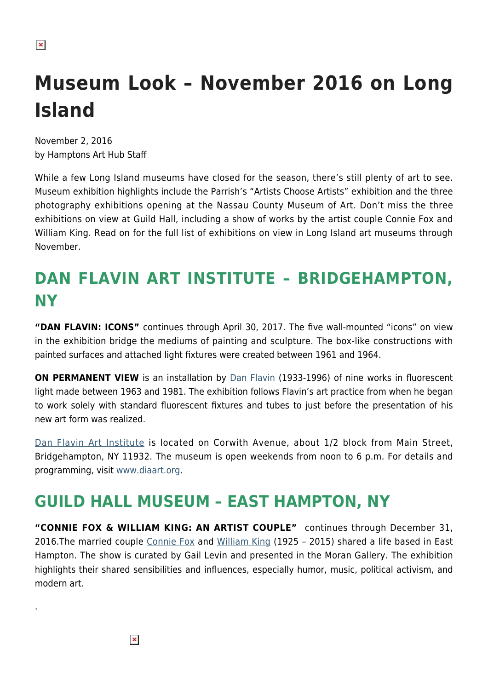# **Museum Look – November 2016 on Long Island**

November 2, 2016 by Hamptons Art Hub Staff

While a few Long Island museums have closed for the season, there's still plenty of art to see. Museum exhibition highlights include the Parrish's "Artists Choose Artists" exhibition and the three photography exhibitions opening at the Nassau County Museum of Art. Don't miss the three exhibitions on view at Guild Hall, including a show of works by the artist couple Connie Fox and William King. Read on for the full list of exhibitions on view in Long Island art museums through November.

## **DAN FLAVIN ART INSTITUTE – BRIDGEHAMPTON, NY**

**"DAN FLAVIN: ICONS"** continues through April 30, 2017. The five wall-mounted "icons" on view in the exhibition bridge the mediums of painting and sculpture. The box-like constructions with painted surfaces and attached light fixtures were created between 1961 and 1964.

**ON PERMANENT VIEW** is an installation by **[Dan Flavin](https://en.wikipedia.org/wiki/Dan_Flavin)** (1933-1996) of nine works in fluorescent light made between 1963 and 1981. The exhibition follows Flavin's art practice from when he began to work solely with standard fluorescent fixtures and tubes to just before the presentation of his new art form was realized.

[Dan Flavin Art Institute](https://hamptonsarthub.com/museum-guide/dan-flavin-art-institute/) is located on Corwith Avenue, about 1/2 block from Main Street, Bridgehampton, NY 11932. The museum is open weekends from noon to 6 p.m. For details and programming, visit [www.diaart.org.](http://www.diaart.org/)

#### **GUILD HALL MUSEUM – EAST HAMPTON, NY**

**"CONNIE FOX & WILLIAM KING: AN ARTIST COUPLE"** continues through December 31, 2016.The married couple [Connie Fox](https://hamptonsarthub.com/2016/03/04/talking-with-connie-fox/) and [William King](https://hamptonsarthub.com/2015/03/10/william-king-remembered/) (1925 - 2015) shared a life based in East Hampton. The show is curated by Gail Levin and presented in the Moran Gallery. The exhibition highlights their shared sensibilities and influences, especially humor, music, political activism, and modern art.

.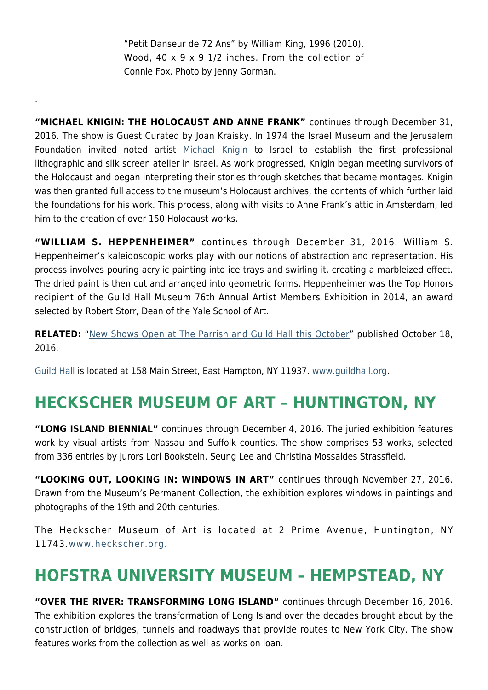"Petit Danseur de 72 Ans" by William King, 1996 (2010). Wood, 40 x 9 x 9 1/2 inches. From the collection of Connie Fox. Photo by Jenny Gorman.

.

**"MICHAEL KNIGIN: THE HOLOCAUST AND ANNE FRANK"** continues through December 31, 2016. The show is Guest Curated by Joan Kraisky. In 1974 the Israel Museum and the Jerusalem Foundation invited noted artist [Michael Knigin](http://www.michaelknigin.net/) to Israel to establish the first professional lithographic and silk screen atelier in Israel. As work progressed, Knigin began meeting survivors of the Holocaust and began interpreting their stories through sketches that became montages. Knigin was then granted full access to the museum's Holocaust archives, the contents of which further laid the foundations for his work. This process, along with visits to Anne Frank's attic in Amsterdam, led him to the creation of over 150 Holocaust works.

**"WILLIAM S. HEPPENHEIMER"** continues through December 31, 2016. William S. Heppenheimer's kaleidoscopic works play with our notions of abstraction and representation. His process involves pouring acrylic painting into ice trays and swirling it, creating a marbleized effect. The dried paint is then cut and arranged into geometric forms. Heppenheimer was the Top Honors recipient of the Guild Hall Museum 76th Annual Artist Members Exhibition in 2014, an award selected by Robert Storr, Dean of the Yale School of Art.

**RELATED:** "[New Shows Open at The Parrish and Guild Hall this October](https://hamptonsarthub.com/2016/10/18/exhibitions-new-shows-open-at-the-parrish-and-guild-hall-this-october/)" published October 18, 2016.

[Guild Hall](https://hamptonsarthub.com/museum-guide/guild-hall/) is located at 158 Main Street, East Hampton, NY 11937. [www.guildhall.org](http://www.guildhall.org/).

### **HECKSCHER MUSEUM OF ART – HUNTINGTON, NY**

**"LONG ISLAND BIENNIAL"** continues through December 4, 2016. The juried exhibition features work by visual artists from Nassau and Suffolk counties. The show comprises 53 works, selected from 336 entries by jurors Lori Bookstein, Seung Lee and Christina Mossaides Strassfield.

**"LOOKING OUT, LOOKING IN: WINDOWS IN ART"** continues through November 27, 2016. Drawn from the Museum's Permanent Collection, the exhibition explores windows in paintings and photographs of the 19th and 20th centuries.

The Heckscher Museum of Art is located at 2 Prime Avenue, Huntington, NY 11743.[www.heckscher.org.](http://www.heckscher.org/)

### **HOFSTRA UNIVERSITY MUSEUM – HEMPSTEAD, NY**

**"OVER THE RIVER: TRANSFORMING LONG ISLAND"** continues through December 16, 2016. The exhibition explores the transformation of Long Island over the decades brought about by the construction of bridges, tunnels and roadways that provide routes to New York City. The show features works from the collection as well as works on loan.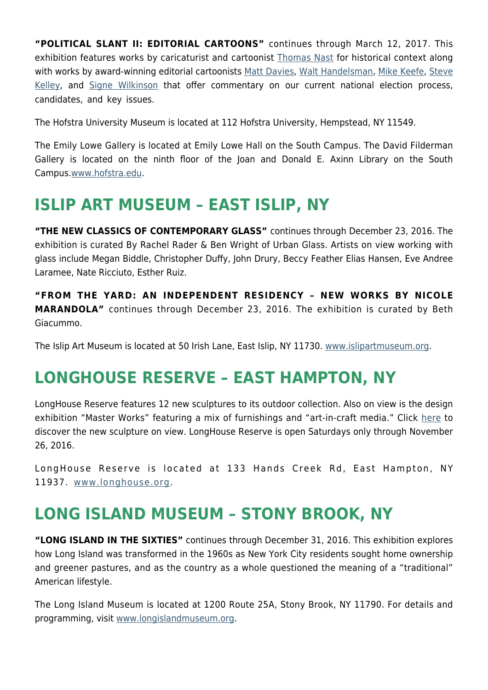**"POLITICAL SLANT II: EDITORIAL CARTOONS"** continues through March 12, 2017. This exhibition features works by caricaturist and cartoonist [Thomas Nast](https://en.wikipedia.org/wiki/Thomas_Nast) for historical context along with works by award-winning editorial cartoonists [Matt Davies,](http://www.gocomics.com/mattdavies) [Walt Handelsman](http://www.walthandelsman.com/), [Mike Keefe](http://www.intoon.com/), [Steve](http://www.gocomics.com/stevekelley) [Kelley](http://www.gocomics.com/stevekelley), and [Signe Wilkinson](http://www.gocomics.com/signewilkinson) that offer commentary on our current national election process, candidates, and key issues.

The Hofstra University Museum is located at 112 Hofstra University, Hempstead, NY 11549.

The Emily Lowe Gallery is located at Emily Lowe Hall on the South Campus. The David Filderman Gallery is located on the ninth floor of the Joan and Donald E. Axinn Library on the South Campus.[www.hofstra.edu](http://www.hofstra.edu/).

#### **ISLIP ART MUSEUM – EAST ISLIP, NY**

**"THE NEW CLASSICS OF CONTEMPORARY GLASS"** continues through December 23, 2016. The exhibition is curated By Rachel Rader & Ben Wright of Urban Glass. Artists on view working with glass include Megan Biddle, Christopher Duffy, John Drury, Beccy Feather Elias Hansen, Eve Andree Laramee, Nate Ricciuto, Esther Ruiz.

**"FROM THE YARD: AN INDEPENDENT RESIDENCY – NEW WORKS BY NICOLE MARANDOLA"** continues through December 23, 2016. The exhibition is curated by Beth Giacummo.

The Islip Art Museum is located at 50 Irish Lane, East Islip, NY 11730. [www.islipartmuseum.org.](http://www.islipartmuseum.org/)

### **LONGHOUSE RESERVE – EAST HAMPTON, NY**

LongHouse Reserve features 12 new sculptures to its outdoor collection. Also on view is the design exhibition "Master Works" featuring a mix of furnishings and "art-in-craft media." Click [here](https://hamptonsarthub.com/2016/04/27/exhibitions-new-sculptures-unveiled-for-longhouses-summer-season/) to discover the new sculpture on view. LongHouse Reserve is open Saturdays only through November 26, 2016.

LongHouse Reserve is located at 133 Hands Creek Rd, East Hampton, NY 11937. [www.longhouse.org.](http://www.longhouse.org/)

#### **LONG ISLAND MUSEUM – STONY BROOK, NY**

**"LONG ISLAND IN THE SIXTIES"** continues through December 31, 2016. This exhibition explores how Long Island was transformed in the 1960s as New York City residents sought home ownership and greener pastures, and as the country as a whole questioned the meaning of a "traditional" American lifestyle.

The Long Island Museum is located at 1200 Route 25A, Stony Brook, NY 11790. For details and programming, visit [www.longislandmuseum.org.](http://www.longislandmuseum.org/)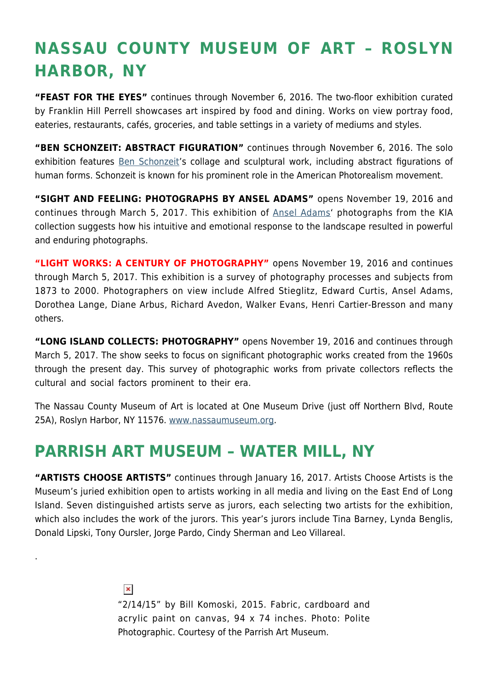## **NASSAU COUNTY MUSEUM OF ART – ROSLYN HARBOR, NY**

**"FEAST FOR THE EYES"** continues through November 6, 2016. The two-floor exhibition curated by Franklin Hill Perrell showcases art inspired by food and dining. Works on view portray food, eateries, restaurants, cafés, groceries, and table settings in a variety of mediums and styles.

**"BEN SCHONZEIT: ABSTRACT FIGURATION"** continues through November 6, 2016. The solo exhibition features **Ben Schonzeit's collage and sculptural work**, including abstract figurations of human forms. Schonzeit is known for his prominent role in the American Photorealism movement.

**"SIGHT AND FEELING: PHOTOGRAPHS BY ANSEL ADAMS"** opens November 19, 2016 and continues through March 5, 2017. This exhibition of [Ansel Adams](http://anseladams.com/)' photographs from the KIA collection suggests how his intuitive and emotional response to the landscape resulted in powerful and enduring photographs.

**"LIGHT WORKS: A CENTURY OF PHOTOGRAPHY"** opens November 19, 2016 and continues through March 5, 2017. This exhibition is a survey of photography processes and subjects from 1873 to 2000. Photographers on view include Alfred Stieglitz, Edward Curtis, Ansel Adams, Dorothea Lange, Diane Arbus, Richard Avedon, Walker Evans, Henri Cartier-Bresson and many others.

**"LONG ISLAND COLLECTS: PHOTOGRAPHY"** opens November 19, 2016 and continues through March 5, 2017. The show seeks to focus on significant photographic works created from the 1960s through the present day. This survey of photographic works from private collectors reflects the cultural and social factors prominent to their era.

The Nassau County Museum of Art is located at One Museum Drive (just off Northern Blvd, Route 25A), Roslyn Harbor, NY 11576. [www.nassaumuseum.org](http://www.nassaumuseum.org/).

#### **PARRISH ART MUSEUM – WATER MILL, NY**

.

**"ARTISTS CHOOSE ARTISTS"** continues through January 16, 2017. Artists Choose Artists is the Museum's juried exhibition open to artists working in all media and living on the East End of Long Island. Seven distinguished artists serve as jurors, each selecting two artists for the exhibition, which also includes the work of the jurors. This year's jurors include Tina Barney, Lynda Benglis, Donald Lipski, Tony Oursler, Jorge Pardo, Cindy Sherman and Leo Villareal.

> $\pmb{\times}$ "2/14/15" by Bill Komoski, 2015. Fabric, cardboard and acrylic paint on canvas, 94 x 74 inches. Photo: Polite Photographic. Courtesy of the Parrish Art Museum.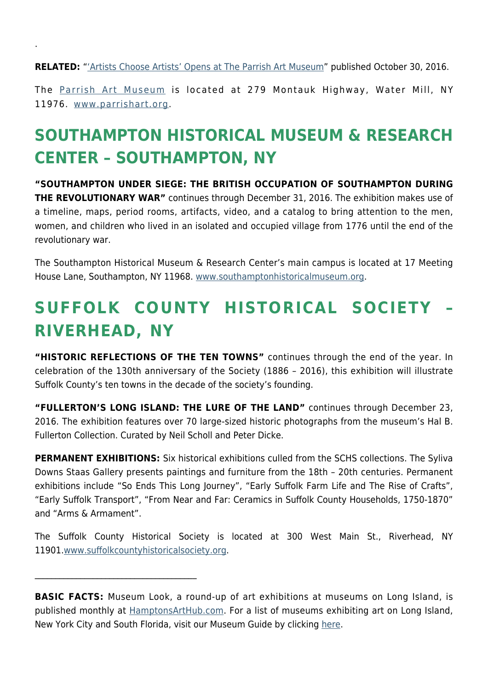**RELATED:** "['Artists Choose Artists' Opens at The Parrish Art Museum](https://hamptonsarthub.com/2016/10/30/exhibitions-artists-choose-artists-opens-at-the-parrish-art-museum/)" published October 30, 2016.

.

The [Parrish Art Museum](https://hamptonsarthub.com/museum-guide/the-parrish-art-museum/) is located at 279 Montauk Highway, Water Mill, NY 11976. [www.parrishart.org.](http://www.parrishart.org/)

## **SOUTHAMPTON HISTORICAL MUSEUM & RESEARCH CENTER – SOUTHAMPTON, NY**

**"SOUTHAMPTON UNDER SIEGE: THE BRITISH OCCUPATION OF SOUTHAMPTON DURING THE REVOLUTIONARY WAR"** continues through December 31, 2016. The exhibition makes use of a timeline, maps, period rooms, artifacts, video, and a catalog to bring attention to the men, women, and children who lived in an isolated and occupied village from 1776 until the end of the revolutionary war.

The Southampton Historical Museum & Research Center's main campus is located at 17 Meeting House Lane, Southampton, NY 11968. [www.southamptonhistoricalmuseum.org](http://www.southamptonhistoricalmuseum.org/).

## **SUFFOLK COUNTY HISTORICAL SOCIETY – RIVERHEAD, NY**

**"HISTORIC REFLECTIONS OF THE TEN TOWNS"** continues through the end of the year. In celebration of the 130th anniversary of the Society (1886 – 2016), this exhibition will illustrate Suffolk County's ten towns in the decade of the society's founding.

**"FULLERTON'S LONG ISLAND: THE LURE OF THE LAND"** continues through December 23, 2016. The exhibition features over 70 large-sized historic photographs from the museum's Hal B. Fullerton Collection. Curated by Neil Scholl and Peter Dicke.

**PERMANENT EXHIBITIONS:** Six historical exhibitions culled from the SCHS collections. The Syliva Downs Staas Gallery presents paintings and furniture from the 18th – 20th centuries. Permanent exhibitions include "So Ends This Long Journey", "Early Suffolk Farm Life and The Rise of Crafts", "Early Suffolk Transport", "From Near and Far: Ceramics in Suffolk County Households, 1750-1870" and "Arms & Armament".

The Suffolk County Historical Society is located at 300 West Main St., Riverhead, NY 11901.[www.suffolkcountyhistoricalsociety.org](http://www.suffolkcountyhistoricalsociety.org/).

 $\mathcal{L}_\text{max}$  and  $\mathcal{L}_\text{max}$  and  $\mathcal{L}_\text{max}$  and  $\mathcal{L}_\text{max}$ 

**BASIC FACTS:** Museum Look, a round-up of art exhibitions at museums on Long Island, is published monthly at [HamptonsArtHub.com.](https://hamptonsarthub.com/) For a list of museums exhibiting art on Long Island, New York City and South Florida, visit our Museum Guide by clicking [here.](https://hamptonsarthub.com/museum-guide/hamptons/)